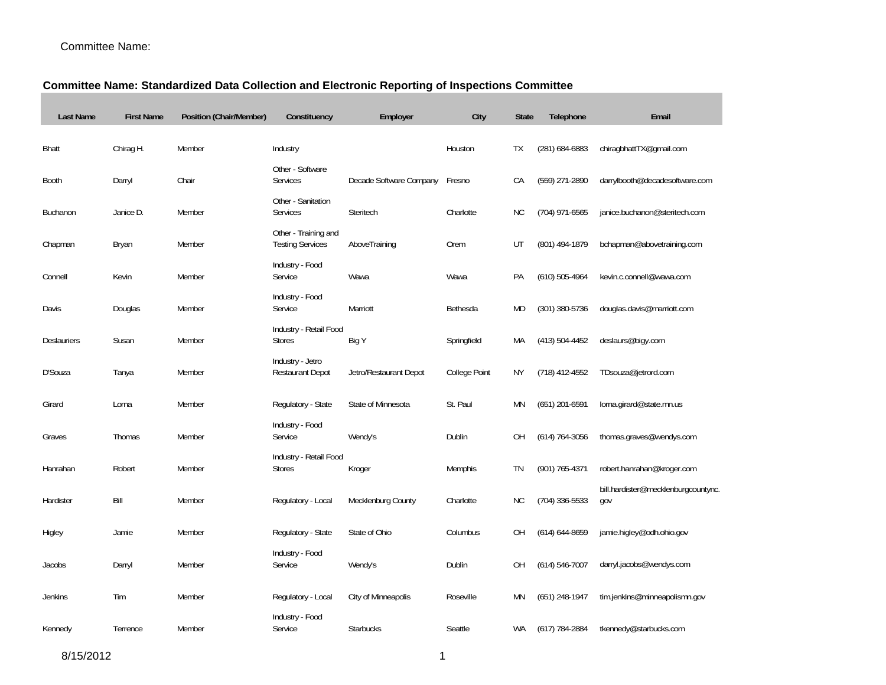## Committee Name:

## **Committee Name: Standardized Data Collection and Electronic Reporting of Inspections Committee**

| <b>Last Name</b> | <b>First Name</b> | Position (Chair/Member) | Constituency                                    | Employer                | City          | <b>State</b> | Telephone          | Email                              |
|------------------|-------------------|-------------------------|-------------------------------------------------|-------------------------|---------------|--------------|--------------------|------------------------------------|
| <b>Bhatt</b>     | Chirag H.         | Member                  | Industry                                        |                         | Houston       | TX           | $(281) 684 - 6883$ | chiragbhattTX@gmail.com            |
| <b>Booth</b>     | Darryl            | Chair                   | Other - Software<br>Services                    | Decade Software Company | Fresno        | CA           | (559) 271-2890     | darrylbooth@decadesoftware.com     |
| Buchanon         | Janice D.         | Member                  | Other - Sanitation<br>Services                  | Steritech               | Charlotte     | <b>NC</b>    | (704) 971-6565     | janice.buchanon@steritech.com      |
| Chapman          | Bryan             | Member                  | Other - Training and<br><b>Testing Services</b> | AboveTraining           | Orem          | UT           | (801) 494-1879     | bchapman@abovetraining.com         |
| Connell          | Kevin             | Member                  | Industry - Food<br>Service                      | Wawa                    | Wawa          | PA           | $(610)$ 505-4964   | kevin.c.connell@wawa.com           |
| Davis            | Douglas           | Member                  | Industry - Food<br>Service                      | Marriott                | Bethesda      | <b>MD</b>    | (301) 380-5736     | douglas.davis@marriott.com         |
| Deslauriers      | Susan             | Member                  | Industry - Retail Food<br><b>Stores</b>         | Big Y                   | Springfield   | МA           | $(413) 504 - 4452$ | deslaurs@bigy.com                  |
| D'Souza          | Tanya             | Member                  | Industry - Jetro<br><b>Restaurant Depot</b>     | Jetro/Restaurant Depot  | College Point | ΝY           | (718) 412-4552     | TDsouza@jetrord.com                |
| Girard           | Lorna             | Member                  | Regulatory - State                              | State of Minnesota      | St. Paul      | <b>MN</b>    | $(651)$ 201-6591   | lorna.girard@state.mn.us           |
| Graves           | Thomas            | Member                  | Industry - Food<br>Service                      | Wendy's                 | Dublin        | ΟH           | $(614) 764 - 3056$ | thomas.graves@wendys.com           |
| Hanrahan         | Robert            | Member                  | Industry - Retail Food<br><b>Stores</b>         | Kroger                  | Memphis       | TN           | (901) 765-4371     | robert.hanrahan@kroger.com         |
|                  |                   |                         |                                                 |                         |               |              |                    | bill.hardister@mecklenburgcountync |
| Hardister        | Bill              | Member                  | Regulatory - Local                              | Mecklenburg County      | Charlotte     | <b>NC</b>    | (704) 336-5533     | gov                                |
| Higley           | Jamie             | Member                  | Regulatory - State                              | State of Ohio           | Columbus      | OΗ           | $(614) 644 - 8659$ | jamie.higley@odh.ohio.gov          |
| Jacobs           | Darryl            | Member                  | Industry - Food<br>Service                      | Wendy's                 | Dublin        | OH           | $(614) 546 - 7007$ | darryl.jacobs@wendys.com           |
| <b>Jenkins</b>   | Tim               | Member                  | Regulatory - Local                              | City of Minneapolis     | Roseville     | <b>MN</b>    | $(651)$ 248-1947   | tim.jenkins@minneapolismn.gov      |
| Kennedy          | Terrence          | Member                  | Industry - Food<br>Service                      | <b>Starbucks</b>        | Seattle       | WA           | $(617)$ 784-2884   | tkennedy@starbucks.com             |